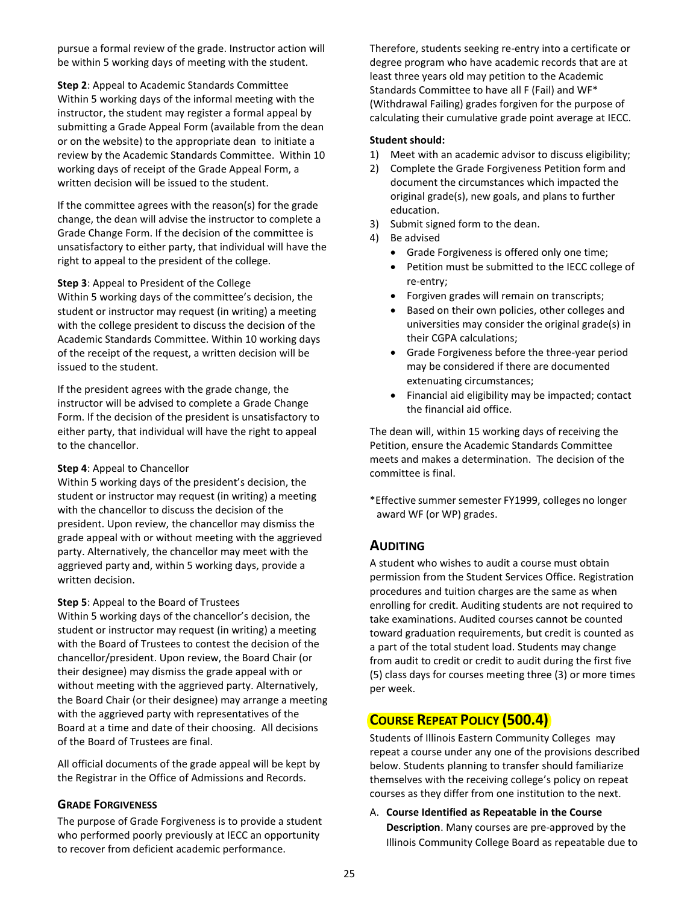pursue a formal review of the grade. Instructor action will be within 5 working days of meeting with the student.

**Step 2**: Appeal to Academic Standards Committee Within 5 working days of the informal meeting with the instructor, the student may register a formal appeal by submitting a Grade Appeal Form (available from the dean or on the website) to the appropriate dean to initiate a review by the Academic Standards Committee. Within 10 working days of receipt of the Grade Appeal Form, a written decision will be issued to the student.

If the committee agrees with the reason(s) for the grade change, the dean will advise the instructor to complete a Grade Change Form. If the decision of the committee is unsatisfactory to either party, that individual will have the right to appeal to the president of the college.

#### **Step 3**: Appeal to President of the College

Within 5 working days of the committee's decision, the student or instructor may request (in writing) a meeting with the college president to discuss the decision of the Academic Standards Committee. Within 10 working days of the receipt of the request, a written decision will be issued to the student.

If the president agrees with the grade change, the instructor will be advised to complete a Grade Change Form. If the decision of the president is unsatisfactory to either party, that individual will have the right to appeal to the chancellor.

### **Step 4**: Appeal to Chancellor

Within 5 working days of the president's decision, the student or instructor may request (in writing) a meeting with the chancellor to discuss the decision of the president. Upon review, the chancellor may dismiss the grade appeal with or without meeting with the aggrieved party. Alternatively, the chancellor may meet with the aggrieved party and, within 5 working days, provide a written decision.

### **Step 5**: Appeal to the Board of Trustees

Within 5 working days of the chancellor's decision, the student or instructor may request (in writing) a meeting with the Board of Trustees to contest the decision of the chancellor/president. Upon review, the Board Chair (or their designee) may dismiss the grade appeal with or without meeting with the aggrieved party. Alternatively, the Board Chair (or their designee) may arrange a meeting with the aggrieved party with representatives of the Board at a time and date of their choosing. All decisions of the Board of Trustees are final.

All official documents of the grade appeal will be kept by the Registrar in the Office of Admissions and Records.

### **GRADE FORGIVENESS**

The purpose of Grade Forgiveness is to provide a student who performed poorly previously at IECC an opportunity to recover from deficient academic performance.

Therefore, students seeking re-entry into a certificate or degree program who have academic records that are at least three years old may petition to the Academic Standards Committee to have all F (Fail) and WF\* (Withdrawal Failing) grades forgiven for the purpose of calculating their cumulative grade point average at IECC.

### **Student should:**

- 1) Meet with an academic advisor to discuss eligibility;
- 2) Complete the Grade Forgiveness Petition form and document the circumstances which impacted the original grade(s), new goals, and plans to further education.
- 3) Submit signed form to the dean.
- 4) Be advised
	- Grade Forgiveness is offered only one time;
	- Petition must be submitted to the IECC college of re-entry;
	- Forgiven grades will remain on transcripts;
	- Based on their own policies, other colleges and universities may consider the original grade(s) in their CGPA calculations;
	- Grade Forgiveness before the three-year period may be considered if there are documented extenuating circumstances;
	- Financial aid eligibility may be impacted; contact the financial aid office.

The dean will, within 15 working days of receiving the Petition, ensure the Academic Standards Committee meets and makes a determination. The decision of the committee is final.

\*Effective summer semester FY1999, colleges no longer award WF (or WP) grades.

## **AUDITING**

A student who wishes to audit a course must obtain permission from the Student Services Office. Registration procedures and tuition charges are the same as when enrolling for credit. Auditing students are not required to take examinations. Audited courses cannot be counted toward graduation requirements, but credit is counted as a part of the total student load. Students may change from audit to credit or credit to audit during the first five (5) class days for courses meeting three (3) or more times per week.

## **COURSE REPEAT POLICY (500.4)**

Students of Illinois Eastern Community Colleges may repeat a course under any one of the provisions described below. Students planning to transfer should familiarize themselves with the receiving college's policy on repeat courses as they differ from one institution to the next.

A. **Course Identified as Repeatable in the Course Description**. Many courses are pre-approved by the Illinois Community College Board as repeatable due to